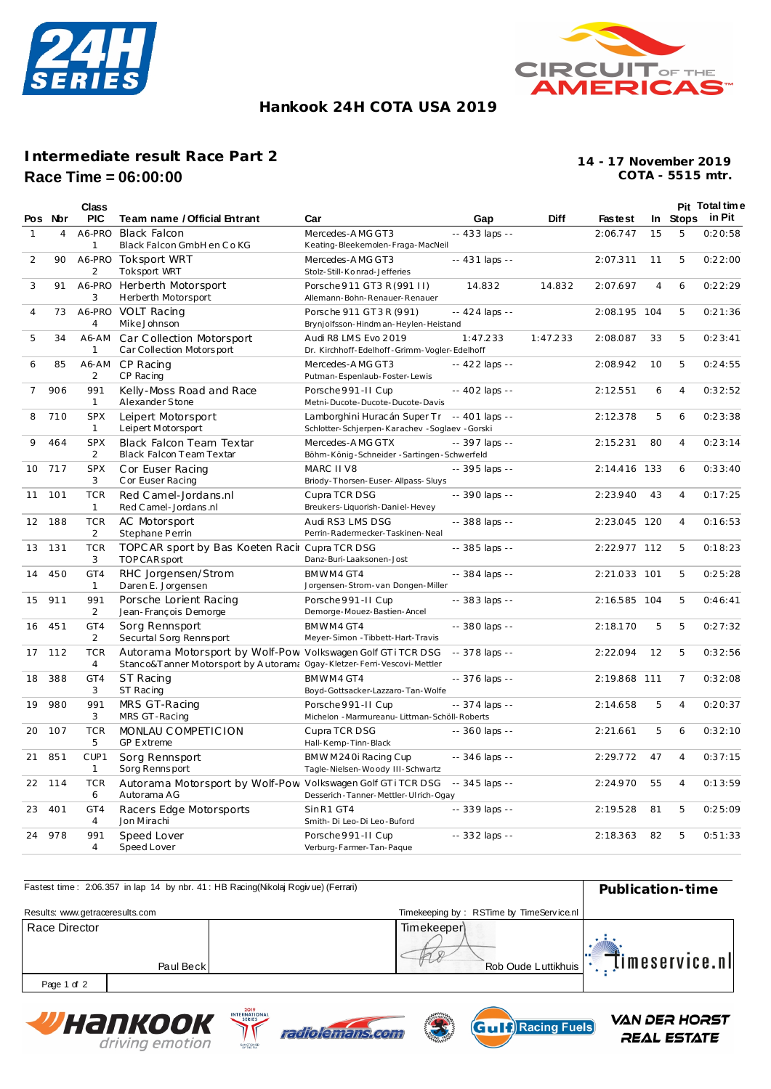



## **Hankook 24H COTA USA 2019**

## **Intermediate result Race Part 2 Race Time = 06:00:00**

**COTA - 5515 mtr. 14 - 17 November 2019**

|                | Pos Nor | <b>Class</b><br><b>PIC</b>       | Team name / Official Entrant                                                                                                           | Car                                                                                          | Gap             | <b>Diff</b> | <b>Fastest</b> |                |                | Pit Total time<br>In Stops in Pit |
|----------------|---------|----------------------------------|----------------------------------------------------------------------------------------------------------------------------------------|----------------------------------------------------------------------------------------------|-----------------|-------------|----------------|----------------|----------------|-----------------------------------|
|                |         |                                  |                                                                                                                                        |                                                                                              |                 |             |                |                |                |                                   |
| $\mathbf{1}$   | 4       | A6-PRO<br>$\mathbf{1}$           | <b>Black Falcon</b><br>Black Falcon GmbH en Co KG                                                                                      | Mercedes-AMG GT3<br>Keating-Bleekemolen-Fraga-MacNeil                                        | $-433$ laps $-$ |             | 2:06.747       | 15             | 5              | 0:20:58                           |
| 2              | 90      | A6-PRO<br>2                      | Toksport WRT<br><b>Toksport WRT</b>                                                                                                    | Mercedes-AMG GT3<br>Stolz-Still-Konrad-Jefferies                                             | $-431$ laps $-$ |             | 2:07.311       | 11             | 5              | 0:22:00                           |
| 3              | 91      | A6-PRO<br>3                      | Herberth Motorsport<br>Herberth Motorsport                                                                                             | Porsche 911 GT3 R (991 II)<br>Allemann-Bohn-Renauer-Renauer                                  | 14.832          | 14.832      | 2:07.697       | $\overline{4}$ | 6              | 0:22:29                           |
| 4              | 73      | 4                                | A6-PRO VOLT Racing<br>MikeJohnson                                                                                                      | Porsche 911 GT3R (991)<br>Brynjolfsson-Hindman-Heylen-Heistand                               | -- 424 laps --  |             | 2:08.195 104   |                | 5              | 0:21:36                           |
| 5              | 34      | A6-AM<br>1                       | Car Collection Motorsport<br>Car Collection Motorsport                                                                                 | Audi R8 LMS Evo 2019<br>Dr. Kirchhoff-Edelhoff-Grimm-Vogler-Edelhoff                         | 1:47.233        | 1:47.233    | 2:08.087       | 33             | 5              | 0:23:41                           |
| 6              | 85      | A6-AM<br>2                       | CP Racing<br>CP Racing                                                                                                                 | Mercedes-AMG GT3<br>Putman-Espenlaub-Foster-Lewis                                            | -- 422 laps --  |             | 2:08.942       | 10             | 5              | 0:24:55                           |
| $\overline{7}$ | 906     | 991<br>1                         | Kelly-Moss Road and Race<br>Alexander Stone                                                                                            | Porsche 991-II Cup<br>Metni-Ducote-Ducote-Ducote-Davis                                       | -- 402 laps --  |             | 2:12.551       | 6              | $\overline{4}$ | 0:32:52                           |
| 8              | 710     | <b>SPX</b><br>1                  | Leipert Motorsport<br>Leipert Motorsport                                                                                               | Lamborghini Huracán Super Tr -- 401 laps --<br>Schlotter-Schjerpen-Karachev -Soglaev -Gorski |                 |             | 2:12.378       | 5              | 6              | 0:23:38                           |
| 9              | 464     | <b>SPX</b><br>2                  | Black Falcon Team Textar<br>Black Falcon Team Textar                                                                                   | Mercedes-AMG GTX<br>Böhm-König-Schneider-Sartingen-Schwerfeld                                | -- 397 laps --  |             | 2:15.231       | 80             | 4              | 0:23:14                           |
| 10             | 717     | <b>SPX</b><br>3                  | Cor Euser Racing                                                                                                                       | MARC II V8                                                                                   | -- 395 laps --  |             | 2:14.416 133   |                | 6              | 0:33:40                           |
| 11             | 101     | <b>TCR</b><br>$\mathbf{1}$       | C or Euser Racing<br>Red Camel-Jordans.nl                                                                                              | Briody-Thorsen-Euser-Allpass-Sluys<br>Cupra TCR DSG                                          | -- 390 laps --  |             | 2:23.940       | 43             | 4              | 0:17:25                           |
| 12             | 188     | <b>TCR</b>                       | Red C amel - Jordans .nl<br>AC Motorsport                                                                                              | Breukers-Liquorish-Daniel-Hevey<br>Audi RS3 LMS DSG                                          | -- 388 laps --  |             | 2:23.045 120   |                | 4              | 0:16:53                           |
| 13             | 131     | 2<br><b>TCR</b><br>3             | Stephane Perrin<br>TOPC AR sport by Bas Koeten Racir Cupra TCR DSG<br>TOPCAR sport                                                     | Perrin-Radermecker-Taskinen-Neal<br>Danz-Buri-Laaksonen-Jost                                 | -- 385 laps --  |             | 2:22.977 112   |                | 5              | 0:18:23                           |
| 14             | 450     | GT4<br>1                         | RHC Jorgensen/Strom<br>Daren E. Jorgensen                                                                                              | BMWM4 GT4<br>Jorgensen-Strom-van Dongen-Miller                                               | -- 384 laps --  |             | 2:21.033 101   |                | 5              | 0:25:28                           |
| 15             | 911     | 991<br>2                         | Porsche Lorient Racing<br>Jean-François Demorge                                                                                        | Porsche 991-II Cup<br>Demorge-Mouez-Bastien-Ancel                                            | -- 383 laps --  |             | 2:16.585       | 104            | 5              | 0:46:41                           |
| 16             | 451     | GT4<br>2                         | Sorg Rennsport<br>Securtal Sorg Rennsport                                                                                              | BMWM4 GT4<br>Meyer-Simon - Tibbett-Hart-Travis                                               | -- 380 laps --  |             | 2:18.170       | 5              | 5              | 0:27:32                           |
| 17             | 112     | <b>TCR</b><br>$\overline{4}$     | Autorama Motorsport by Wolf-Pow Volkswagen Golf GTiTCR DSG<br>Stanco&T anner Motorsport by Autoram: Ogay-Kletzer-Ferri-Vescovi-Mettler |                                                                                              | $-378$ laps $-$ |             | 2:22.094       | 12             | 5              | 0:32:56                           |
| 18             | 388     | GT4<br>3                         | <b>ST Racing</b><br>ST Racing                                                                                                          | BMWM4GT4<br>Boyd-Gottsacker-Lazzaro-Tan-Wolfe                                                | -- 376 laps --  |             | 2:19.868 111   |                | 7              | 0:32:08                           |
| 19             | 980     | 991<br>3                         | MRS GT-Racing<br>MRS GT-Racing                                                                                                         | Porsche 991-II Cup<br>Michelon - Marmureanu- Littman-Schöll-Roberts                          | -- 374 laps --  |             | 2:14.658       | 5              | $\overline{4}$ | 0:20:37                           |
| 20             | 107     | <b>TCR</b><br>5                  | MONLAU COMPETICION<br><b>GP Extreme</b>                                                                                                | Cupra TCR DSG<br>Hall-Kemp-Tinn-Black                                                        | -- 360 laps --  |             | 2:21.661       | 5              | 6              | 0:32:10                           |
| 21             | 851     | CUP <sub>1</sub><br>$\mathbf{1}$ | Sorg Rennsport<br>Sorg Rennsport                                                                                                       | BMW M240i Racing Cup<br>Tagle-Nielsen-Woody III-Schwartz                                     | -- 346 laps --  |             | 2:29.772       | 47             | 4              | 0:37:15                           |
| 22             | 114     | <b>TCR</b><br>6                  | Autorama Motorsport by Wolf-Pow Volkswagen Golf GTi TCR DSG<br>Autorama AG                                                             | Desserich - Tanner-Mettler-Ulrich-Ogay                                                       | -- 345 laps --  |             | 2:24.970       | 55             | 4              | 0:13:59                           |
| 23             | 401     | GT4<br>$\overline{4}$            | Racers Edge Motorsports<br>Jon Mirachi                                                                                                 | SinR1 GT4<br>Smith-Di Leo-Di Leo-Buford                                                      | -- 339 laps --  |             | 2:19.528       | 81             | 5              | 0:25:09                           |
| 24             | 978     | 991<br>4                         | Speed Lover<br>Speed Lover                                                                                                             | Porsche 991-II Cup<br>Verburg-Farmer-Tan-Paque                                               | -- 332 laps --  |             | 2:18.363       | 82             | 5              | 0:51:33                           |

| Fastest time: 2:06.357 in lap 14 by nbr. 41: HB Racing(Nikolaj Rogivue) (Ferrari) | Publication-time |                                          |                 |  |
|-----------------------------------------------------------------------------------|------------------|------------------------------------------|-----------------|--|
| Results: www.getraceresults.com                                                   |                  | Timekeeping by: RSTime by TimeService.nl |                 |  |
| Race Director                                                                     | Paul Beck        | Timekeeper<br>Rob Oude Luttikhuis        | timeservice.nll |  |
| Page 1 of 2                                                                       |                  |                                          |                 |  |